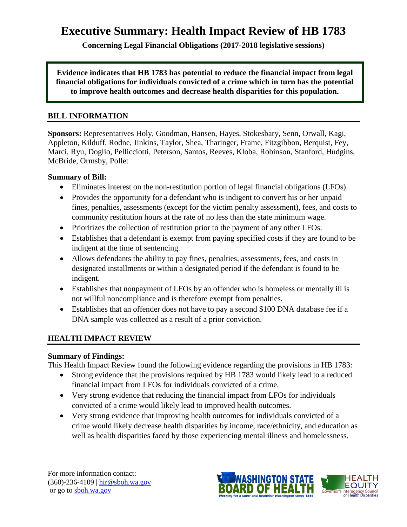# **Executive Summary: Health Impact Review of HB 1783**

**Concerning Legal Financial Obligations (2017-2018 legislative sessions)**

**Evidence indicates that HB 1783 has potential to reduce the financial impact from legal financial obligations for individuals convicted of a crime which in turn has the potential to improve health outcomes and decrease health disparities for this population.**

#### **BILL INFORMATION**

**Sponsors:** Representatives Holy, Goodman, Hansen, Hayes, Stokesbary, Senn, Orwall, Kagi, Appleton, Kilduff, Rodne, Jinkins, Taylor, Shea, Tharinger, Frame, Fitzgibbon, Berquist, Fey, Marci, Ryu, Doglio, Pellicciotti, Peterson, Santos, Reeves, Kloba, Robinson, Stanford, Hudgins, McBride, Ormsby, Pollet

#### **Summary of Bill:**

- Eliminates interest on the non-restitution portion of legal financial obligations (LFOs).
- Provides the opportunity for a defendant who is indigent to convert his or her unpaid fines, penalties, assessments (except for the victim penalty assessment), fees, and costs to community restitution hours at the rate of no less than the state minimum wage.
- Prioritizes the collection of restitution prior to the payment of any other LFOs.
- Establishes that a defendant is exempt from paying specified costs if they are found to be indigent at the time of sentencing.
- Allows defendants the ability to pay fines, penalties, assessments, fees, and costs in designated installments or within a designated period if the defendant is found to be indigent.
- Establishes that nonpayment of LFOs by an offender who is homeless or mentally ill is not willful noncompliance and is therefore exempt from penalties.
- Establishes that an offender does not have to pay a second \$100 DNA database fee if a DNA sample was collected as a result of a prior conviction.

#### **HEALTH IMPACT REVIEW**

#### **Summary of Findings:**

This Health Impact Review found the following evidence regarding the provisions in HB 1783:

- Strong evidence that the provisions required by HB 1783 would likely lead to a reduced financial impact from LFOs for individuals convicted of a crime.
- Very strong evidence that reducing the financial impact from LFOs for individuals convicted of a crime would likely lead to improved health outcomes.
- Very strong evidence that improving health outcomes for individuals convicted of a crime would likely decrease health disparities by income, race/ethnicity, and education as well as health disparities faced by those experiencing mental illness and homelessness.

For more information contact: (360)-236-4109 | [hir@sboh.wa.gov](mailto:hir@sboh.wa.gov) or go t[o sboh.wa.gov](http://sboh.wa.gov/)

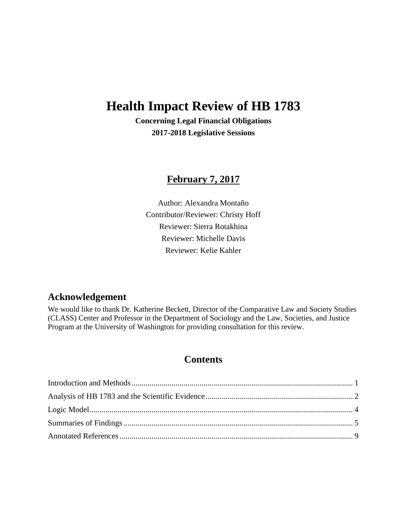# **Health Impact Review of HB 1783**

**Concerning Legal Financial Obligations 2017-2018 Legislative Sessions**

# **February 7, 2017**

Author: Alexandra Montaño Contributor/Reviewer: Christy Hoff Reviewer: Sierra Rotakhina Reviewer: Michelle Davis Reviewer: Kelie Kahler

# **Acknowledgement**

We would like to thank Dr. Katherine Beckett, Director of the Comparative Law and Society Studies (CLASS) Center and Professor in the Department of Sociology and the Law, Societies, and Justice Program at the University of Washington for providing consultation for this review.

# **Contents**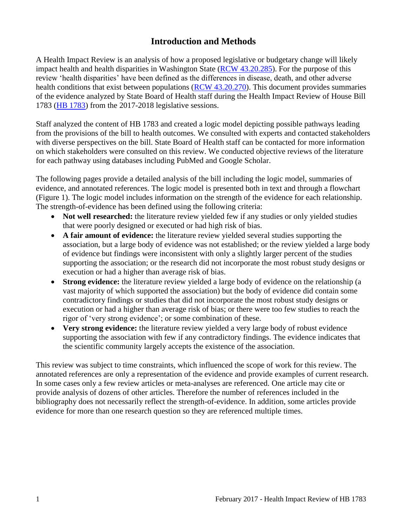# **Introduction and Methods**

<span id="page-2-0"></span>A Health Impact Review is an analysis of how a proposed legislative or budgetary change will likely impact health and health disparities in Washington State [\(RCW 43.20.285\)](http://apps.leg.wa.gov/rcw/default.aspx?cite=43.20.285). For the purpose of this review 'health disparities' have been defined as the differences in disease, death, and other adverse health conditions that exist between populations [\(RCW 43.20.270\)](http://apps.leg.wa.gov/rcw/default.aspx?cite=43.20.270). This document provides summaries of the evidence analyzed by State Board of Health staff during the Health Impact Review of House Bill 1783 (HB [1783\)](http://lawfilesext.leg.wa.gov/biennium/2017-18/Pdf/Bills/House%20Bills/1783.pdf) from the 2017-2018 legislative sessions.

Staff analyzed the content of HB 1783 and created a logic model depicting possible pathways leading from the provisions of the bill to health outcomes. We consulted with experts and contacted stakeholders with diverse perspectives on the bill. State Board of Health staff can be contacted for more information on which stakeholders were consulted on this review. We conducted objective reviews of the literature for each pathway using databases including PubMed and Google Scholar.

The following pages provide a detailed analysis of the bill including the logic model, summaries of evidence, and annotated references. The logic model is presented both in text and through a flowchart (Figure 1). The logic model includes information on the strength of the evidence for each relationship. The strength-of-evidence has been defined using the following criteria:

- Not well researched: the literature review yielded few if any studies or only yielded studies that were poorly designed or executed or had high risk of bias.
- **A fair amount of evidence:** the literature review yielded several studies supporting the association, but a large body of evidence was not established; or the review yielded a large body of evidence but findings were inconsistent with only a slightly larger percent of the studies supporting the association; or the research did not incorporate the most robust study designs or execution or had a higher than average risk of bias.
- **Strong evidence:** the literature review yielded a large body of evidence on the relationship (a vast majority of which supported the association) but the body of evidence did contain some contradictory findings or studies that did not incorporate the most robust study designs or execution or had a higher than average risk of bias; or there were too few studies to reach the rigor of 'very strong evidence'; or some combination of these.
- **Very strong evidence:** the literature review yielded a very large body of robust evidence supporting the association with few if any contradictory findings. The evidence indicates that the scientific community largely accepts the existence of the association.

This review was subject to time constraints, which influenced the scope of work for this review. The annotated references are only a representation of the evidence and provide examples of current research. In some cases only a few review articles or meta-analyses are referenced. One article may cite or provide analysis of dozens of other articles. Therefore the number of references included in the bibliography does not necessarily reflect the strength-of-evidence. In addition, some articles provide evidence for more than one research question so they are referenced multiple times.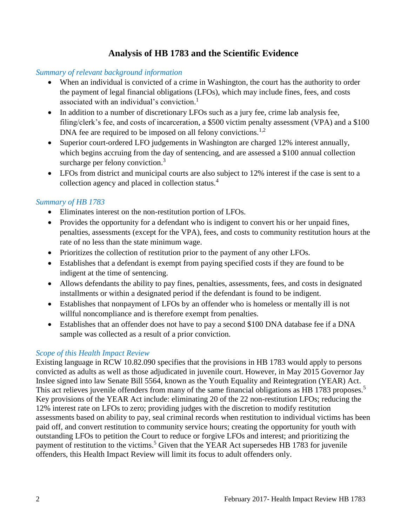# **Analysis of HB 1783 and the Scientific Evidence**

#### <span id="page-3-0"></span>*Summary of relevant background information*

- When an individual is convicted of a crime in Washington, the court has the authority to order the payment of legal financial obligations (LFOs), which may include fines, fees, and costs associated with an individual's conviction. [1](#page-10-1)
- In addition to a number of discretionary LFOs such as a jury fee, crime lab analysis fee, filing/clerk's fee, and costs of incarceration, a \$500 victim penalty assessment (VPA) and a \$100 DNA fee are required to be imposed on all felony convictions.<sup>[1,](#page-10-1)[2](#page-10-2)</sup>
- Superior court-ordered LFO judgements in Washington are charged 12% interest annually, which begins accruing from the day of sentencing, and are assessed a \$100 annual collection surcharge per felony conviction.<sup>[3](#page-10-3)</sup>
- LFOs from district and municipal courts are also subject to 12% interest if the case is sent to a collection agency and placed in collection status.[4](#page-11-0)

#### *Summary of HB 1783*

- Eliminates interest on the non-restitution portion of LFOs.
- Provides the opportunity for a defendant who is indigent to convert his or her unpaid fines, penalties, assessments (except for the VPA), fees, and costs to community restitution hours at the rate of no less than the state minimum wage.
- Prioritizes the collection of restitution prior to the payment of any other LFOs.
- Establishes that a defendant is exempt from paying specified costs if they are found to be indigent at the time of sentencing.
- Allows defendants the ability to pay fines, penalties, assessments, fees, and costs in designated installments or within a designated period if the defendant is found to be indigent.
- Establishes that nonpayment of LFOs by an offender who is homeless or mentally ill is not willful noncompliance and is therefore exempt from penalties.
- Establishes that an offender does not have to pay a second \$100 DNA database fee if a DNA sample was collected as a result of a prior conviction.

# *Scope of this Health Impact Review*

Existing language in RCW 10.82.090 specifies that the provisions in HB 1783 would apply to persons convicted as adults as well as those adjudicated in juvenile court. However, in May 2015 Governor Jay Inslee signed into law Senate Bill 5564, known as the Youth Equality and Reintegration (YEAR) Act. This act relieves juvenile offenders from many of the same financial obligations as HB 1783 proposes.<sup>[5](#page-11-1)</sup> Key provisions of the YEAR Act include: eliminating 20 of the 22 non-restitution LFOs; reducing the 12% interest rate on LFOs to zero; providing judges with the discretion to modify restitution assessments based on ability to pay, seal criminal records when restitution to individual victims has been paid off, and convert restitution to community service hours; creating the opportunity for youth with outstanding LFOs to petition the Court to reduce or forgive LFOs and interest; and prioritizing the payment of restitution to the victims.<sup>[5](#page-11-1)</sup> Given that the YEAR Act supersedes HB 1783 for juvenile offenders, this Health Impact Review will limit its focus to adult offenders only.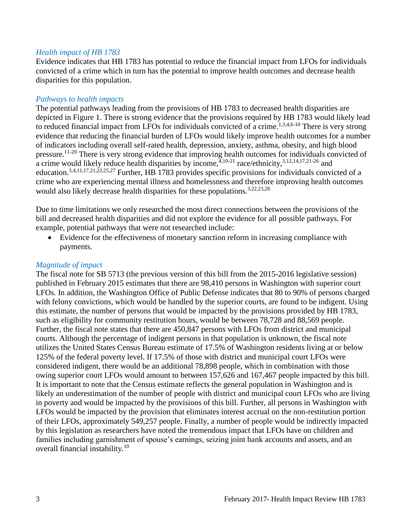#### *Health impact of HB 1783*

Evidence indicates that HB 1783 has potential to reduce the financial impact from LFOs for individuals convicted of a crime which in turn has the potential to improve health outcomes and decrease health disparities for this population.

#### *Pathways to health impacts*

The potential pathways leading from the provisions of HB 1783 to decreased health disparities are depicted in Figure 1. There is strong evidence that the provisions required by HB 1783 would likely lead to reduced financial impact from LFOs for individuals convicted of a crime.<sup>[1](#page-10-1)[,3](#page-10-3)[,4](#page-11-0)[,6-10](#page-11-2)</sup> There is very strong evidence that reducing the financial burden of LFOs would likely improve health outcomes for a number of indicators including overall self-rated health, depression, anxiety, asthma, obesity, and high blood pressure.[11-20](#page-13-0) There is very strong evidence that improving health outcomes for individuals convicted of a crime would likely reduce health disparities by income,  $4,10-21$  $4,10-21$  race/ethnicity,  $3,12,14,17,21-26$  $3,12,14,17,21-26$  $3,12,14,17,21-26$  $3,12,14,17,21-26$  $3,12,14,17,21-26$  and education.<sup>[3,](#page-10-3)[4,](#page-11-0)[11,](#page-13-0)[17,](#page-14-1)[21,](#page-16-0)[22,](#page-16-1)[25,](#page-17-0)[27](#page-17-1)</sup> Further, HB 1783 provides specific provisions for individuals convicted of a crime who are experiencing mental illness and homelessness and therefore improving health outcomes would also likely decrease health disparities for these populations.<sup>[3](#page-10-3)[,22](#page-16-1)[,23](#page-16-2)[,28](#page-18-0)</sup>

Due to time limitations we only researched the most direct connections between the provisions of the bill and decreased health disparities and did not explore the evidence for all possible pathways. For example, potential pathways that were not researched include:

 Evidence for the effectiveness of monetary sanction reform in increasing compliance with payments.

#### *Magnitude of impact*

The fiscal note for SB 5713 (the previous version of this bill from the 2015-2016 legislative session) published in February 2015 estimates that there are 98,410 persons in Washington with superior court LFOs. In addition, the Washington Office of Public Defense indicates that 80 to 90% of persons charged with felony convictions, which would be handled by the superior courts, are found to be indigent. Using this estimate, the number of persons that would be impacted by the provisions provided by HB 1783, such as eligibility for community restitution hours, would be between 78,728 and 88,569 people. Further, the fiscal note states that there are 450,847 persons with LFOs from district and municipal courts. Although the percentage of indigent persons in that population is unknown, the fiscal note utilizes the United States Census Bureau estimate of 17.5% of Washington residents living at or below 125% of the federal poverty level. If 17.5% of those with district and municipal court LFOs were considered indigent, there would be an additional 78,898 people, which in combination with those owing superior court LFOs would amount to between 157,626 and 167,467 people impacted by this bill. It is important to note that the Census estimate reflects the general population in Washington and is likely an underestimation of the number of people with district and municipal court LFOs who are living in poverty and would be impacted by the provisions of this bill. Further, all persons in Washington with LFOs would be impacted by the provision that eliminates interest accrual on the non-restitution portion of their LFOs, approximately 549,257 people. Finally, a number of people would be indirectly impacted by this legislation as researchers have noted the tremendous impact that LFOs have on children and families including garnishment of spouse's earnings, seizing joint bank accounts and assets, and an overall financial instability.<sup>[10](#page-13-1)</sup>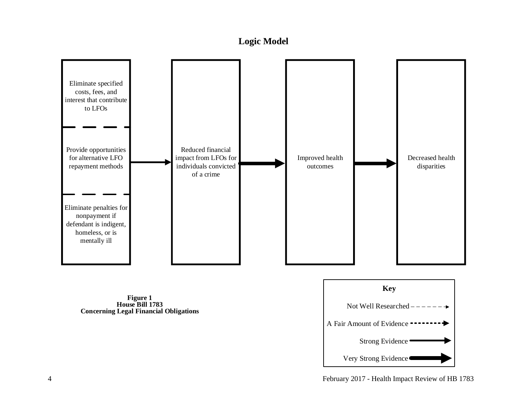# **Logic Model**

<span id="page-5-0"></span>

**Figure 1 House Bill 1783 Concerning Legal Financial Obligations**

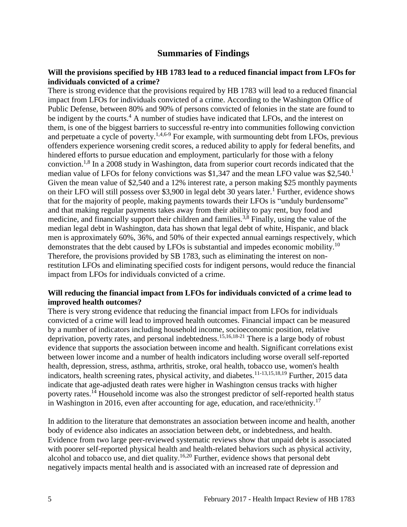# **Summaries of Findings**

#### <span id="page-6-0"></span>**Will the provisions specified by HB 1783 lead to a reduced financial impact from LFOs for individuals convicted of a crime?**

There is strong evidence that the provisions required by HB 1783 will lead to a reduced financial impact from LFOs for individuals convicted of a crime. According to the Washington Office of Public Defense, between 80% and 90% of persons convicted of felonies in the state are found to be indigent by the courts.<sup>[4](#page-11-0)</sup> A number of studies have indicated that LFOs, and the interest on them, is one of the biggest barriers to successful re-entry into communities following conviction and perpetuate a cycle of poverty.<sup>[1,](#page-10-1)[4,](#page-11-0)[6-9](#page-11-2)</sup> For example, with surmounting debt from LFOs, previous offenders experience worsening credit scores, a reduced ability to apply for federal benefits, and hindered efforts to pursue education and employment, particularly for those with a felony conviction.<sup>[1,](#page-10-1)[8](#page-12-0)</sup> In a 2008 study in Washington, data from superior court records indicated that the median value of LFOs for felony convictions was \$[1](#page-10-1),347 and the mean LFO value was  $$2,540<sup>1</sup>$ Given the mean value of \$2,540 and a 12% interest rate, a person making \$25 monthly payments on their LFO will still possess over \$3,900 in legal debt 30 years later.<sup>[1](#page-10-1)</sup> Further, evidence shows that for the majority of people, making payments towards their LFOs is "unduly burdensome" and that making regular payments takes away from their ability to pay rent, buy food and medicine, and financially support their children and families.<sup>[3](#page-10-3)[,8](#page-12-0)</sup> Finally, using the value of the median legal debt in Washington, data has shown that legal debt of white, Hispanic, and black men is approximately 60%, 36%, and 50% of their expected annual earnings respectively, which demonstrates that the debt caused by LFOs is substantial and impedes economic mobility.<sup>[10](#page-13-1)</sup> Therefore, the provisions provided by SB 1783, such as eliminating the interest on nonrestitution LFOs and eliminating specified costs for indigent persons, would reduce the financial impact from LFOs for individuals convicted of a crime.

#### **Will reducing the financial impact from LFOs for individuals convicted of a crime lead to improved health outcomes?**

There is very strong evidence that reducing the financial impact from LFOs for individuals convicted of a crime will lead to improved health outcomes. Financial impact can be measured by a number of indicators including household income, socioeconomic position, relative deprivation, poverty rates, and personal indebtedness.[15](#page-14-2)[,16](#page-14-3)[,18-21](#page-15-0) There is a large body of robust evidence that supports the association between income and health. Significant correlations exist between lower income and a number of health indicators including worse overall self-reported health, depression, stress, asthma, arthritis, stroke, oral health, tobacco use, women's health indicators, health screening rates, physical activity, and diabetes.[11-13,](#page-13-0)[15,](#page-14-2)[18,](#page-15-0)[19](#page-15-1) Further, 2015 data indicate that age-adjusted death rates were higher in Washington census tracks with higher poverty rates.<sup>[14](#page-14-0)</sup> Household income was also the strongest predictor of self-reported health status in Washington in 2016, even after accounting for age, education, and race/ethnicity.<sup>[17](#page-14-1)</sup>

In addition to the literature that demonstrates an association between income and health, another body of evidence also indicates an association between debt, or indebtedness, and health. Evidence from two large peer-reviewed systematic reviews show that unpaid debt is associated with poorer self-reported physical health and health-related behaviors such as physical activity, alcohol and tobacco use, and diet quality.<sup>[16,](#page-14-3)[20](#page-15-2)</sup> Further, evidence shows that personal debt negatively impacts mental health and is associated with an increased rate of depression and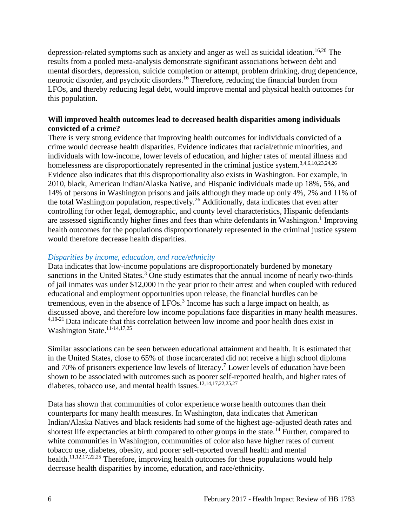depression-related symptoms such as anxiety and anger as well as suicidal ideation.<sup>[16](#page-14-3)[,20](#page-15-2)</sup> The results from a pooled meta-analysis demonstrate significant associations between debt and mental disorders, depression, suicide completion or attempt, problem drinking, drug dependence, neurotic disorder, and psychotic disorders.[16](#page-14-3) Therefore, reducing the financial burden from LFOs, and thereby reducing legal debt, would improve mental and physical health outcomes for this population.

#### **Will improved health outcomes lead to decreased health disparities among individuals convicted of a crime?**

There is very strong evidence that improving health outcomes for individuals convicted of a crime would decrease health disparities. Evidence indicates that racial/ethnic minorities, and individuals with low-income, lower levels of education, and higher rates of mental illness and homelessness are disproportionately represented in the criminal justice system.<sup>[3](#page-10-3)[,4](#page-11-0)[,6](#page-11-2)[,10](#page-13-1)[,23](#page-16-2)[,24](#page-17-2)[,26](#page-17-3)</sup> Evidence also indicates that this disproportionality also exists in Washington. For example, in 2010, black, American Indian/Alaska Native, and Hispanic individuals made up 18%, 5%, and 14% of persons in Washington prisons and jails although they made up only 4%, 2% and 11% of the total Washington population, respectively.[26](#page-17-3) Additionally, data indicates that even after controlling for other legal, demographic, and county level characteristics, Hispanic defendants are assessed significantly higher fines and fees than white defendants in Washington.<sup>[1](#page-10-1)</sup> Improving health outcomes for the populations disproportionately represented in the criminal justice system would therefore decrease health disparities.

#### *Disparities by income, education, and race/ethnicity*

Data indicates that low-income populations are disproportionately burdened by monetary sanctions in the United States.<sup>[3](#page-10-3)</sup> One study estimates that the annual income of nearly two-thirds of jail inmates was under \$12,000 in the year prior to their arrest and when coupled with reduced educational and employment opportunities upon release, the financial hurdles can be tremendous, even in the absence of  $LFOs<sup>3</sup>$  $LFOs<sup>3</sup>$  $LFOs<sup>3</sup>$  Income has such a large impact on health, as discussed above, and therefore low income populations face disparities in many health measures. [4](#page-11-0)[,10-21](#page-13-1) Data indicate that this correlation between low income and poor health does exist in Washington State.<sup>[11-14,](#page-13-0)[17,](#page-14-1)[25](#page-17-0)</sup>

Similar associations can be seen between educational attainment and health. It is estimated that in the United States, close to 65% of those incarcerated did not receive a high school diploma and 70% of prisoners experience low levels of literacy. [7](#page-12-1) Lower levels of education have been shown to be associated with outcomes such as poorer self-reported health, and higher rates of diabetes, tobacco use, and mental health issues.<sup>[12,](#page-13-2)[14,](#page-14-0)[17,](#page-14-1)[22,](#page-16-1)[25,](#page-17-0)[27](#page-17-1)</sup>

Data has shown that communities of color experience worse health outcomes than their counterparts for many health measures. In Washington, data indicates that American Indian/Alaska Natives and black residents had some of the highest age-adjusted death rates and shortest life expectancies at birth compared to other groups in the state.<sup>[14](#page-14-0)</sup> Further, compared to white communities in Washington, communities of color also have higher rates of current tobacco use, diabetes, obesity, and poorer self-reported overall health and mental health.<sup>[11,](#page-13-0)[12,](#page-13-2)[17,](#page-14-1)[22,](#page-16-1)[25](#page-17-0)</sup> Therefore, improving health outcomes for these populations would help decrease health disparities by income, education, and race/ethnicity.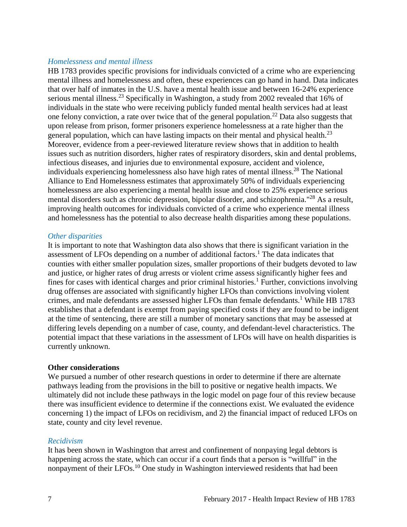#### *Homelessness and mental illness*

HB 1783 provides specific provisions for individuals convicted of a crime who are experiencing mental illness and homelessness and often, these experiences can go hand in hand. Data indicates that over half of inmates in the U.S. have a mental health issue and between 16-24% experience serious mental illness.<sup>[23](#page-16-2)</sup> Specifically in Washington, a study from 2002 revealed that 16% of individuals in the state who were receiving publicly funded mental health services had at least one felony conviction, a rate over twice that of the general population.<sup>[22](#page-16-1)</sup> Data also suggests that upon release from prison, former prisoners experience homelessness at a rate higher than the general population, which can have lasting impacts on their mental and physical health.<sup>[23](#page-16-2)</sup> Moreover, evidence from a peer-reviewed literature review shows that in addition to health issues such as nutrition disorders, higher rates of respiratory disorders, skin and dental problems, infectious diseases, and injuries due to environmental exposure, accident and violence, individuals experiencing homelessness also have high rates of mental illness. [28](#page-18-0) The National Alliance to End Homelessness estimates that approximately 50% of individuals experiencing homelessness are also experiencing a mental health issue and close to 25% experience serious mental disorders such as chronic depression, bipolar disorder, and schizophrenia."[28](#page-18-0) As a result, improving health outcomes for individuals convicted of a crime who experience mental illness and homelessness has the potential to also decrease health disparities among these populations.

#### *Other disparities*

It is important to note that Washington data also shows that there is significant variation in the assessment of LFOs depending on a number of additional factors.<sup>[1](#page-10-1)</sup> The data indicates that counties with either smaller population sizes, smaller proportions of their budgets devoted to law and justice, or higher rates of drug arrests or violent crime assess significantly higher fees and fines for cases with identical charges and prior criminal histories.<sup>[1](#page-10-1)</sup> Further, convictions involving drug offenses are associated with significantly higher LFOs than convictions involving violent crimes, and male defendants are assessed higher LFOs than female defendants.<sup>[1](#page-10-1)</sup> While HB 1783 establishes that a defendant is exempt from paying specified costs if they are found to be indigent at the time of sentencing, there are still a number of monetary sanctions that may be assessed at differing levels depending on a number of case, county, and defendant-level characteristics. The potential impact that these variations in the assessment of LFOs will have on health disparities is currently unknown.

#### **Other considerations**

We pursued a number of other research questions in order to determine if there are alternate pathways leading from the provisions in the bill to positive or negative health impacts. We ultimately did not include these pathways in the logic model on page four of this review because there was insufficient evidence to determine if the connections exist. We evaluated the evidence concerning 1) the impact of LFOs on recidivism, and 2) the financial impact of reduced LFOs on state, county and city level revenue.

#### *Recidivism*

It has been shown in Washington that arrest and confinement of nonpaying legal debtors is happening across the state, which can occur if a court finds that a person is "willful" in the nonpayment of their LFOs.<sup>[10](#page-13-1)</sup> One study in Washington interviewed residents that had been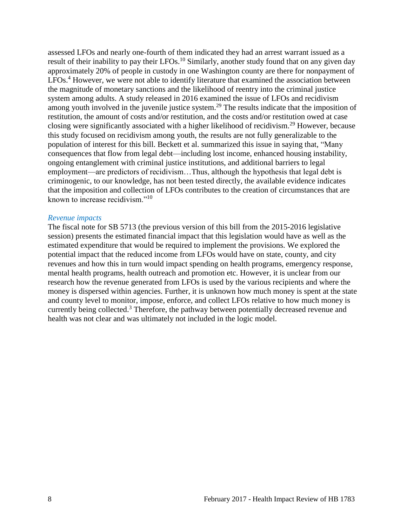assessed LFOs and nearly one-fourth of them indicated they had an arrest warrant issued as a result of their inability to pay their LFOs.<sup>[10](#page-13-1)</sup> Similarly, another study found that on any given day approximately 20% of people in custody in one Washington county are there for nonpayment of LFOs.<sup>[4](#page-11-0)</sup> However, we were not able to identify literature that examined the association between the magnitude of monetary sanctions and the likelihood of reentry into the criminal justice system among adults. A study released in 2016 examined the issue of LFOs and recidivism among youth involved in the juvenile justice system.<sup>[29](#page-18-1)</sup> The results indicate that the imposition of restitution, the amount of costs and/or restitution, and the costs and/or restitution owed at case closing were significantly associated with a higher likelihood of recidivism.[29](#page-18-1) However, because this study focused on recidivism among youth, the results are not fully generalizable to the population of interest for this bill. Beckett et al. summarized this issue in saying that, "Many consequences that flow from legal debt—including lost income, enhanced housing instability, ongoing entanglement with criminal justice institutions, and additional barriers to legal employment—are predictors of recidivism…Thus, although the hypothesis that legal debt is criminogenic, to our knowledge, has not been tested directly, the available evidence indicates that the imposition and collection of LFOs contributes to the creation of circumstances that are known to increase recidivism."[10](#page-13-1)

#### *Revenue impacts*

The fiscal note for SB 5713 (the previous version of this bill from the 2015-2016 legislative session) presents the estimated financial impact that this legislation would have as well as the estimated expenditure that would be required to implement the provisions. We explored the potential impact that the reduced income from LFOs would have on state, county, and city revenues and how this in turn would impact spending on health programs, emergency response, mental health programs, health outreach and promotion etc. However, it is unclear from our research how the revenue generated from LFOs is used by the various recipients and where the money is dispersed within agencies. Further, it is unknown how much money is spent at the state and county level to monitor, impose, enforce, and collect LFOs relative to how much money is currently being collected.<sup>[3](#page-10-3)</sup> Therefore, the pathway between potentially decreased revenue and health was not clear and was ultimately not included in the logic model.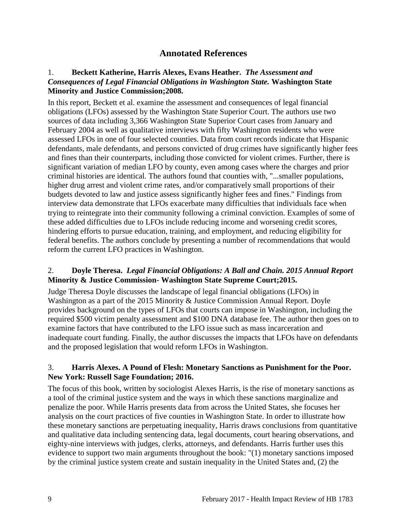# **Annotated References**

#### <span id="page-10-1"></span><span id="page-10-0"></span>1. **Beckett Katherine, Harris Alexes, Evans Heather.** *The Assessment and Consequences of Legal Financial Obligations in Washington State.* **Washington State Minority and Justice Commission;2008.**

In this report, Beckett et al. examine the assessment and consequences of legal financial obligations (LFOs) assessed by the Washington State Superior Court. The authors use two sources of data including 3,366 Washington State Superior Court cases from January and February 2004 as well as qualitative interviews with fifty Washington residents who were assessed LFOs in one of four selected counties. Data from court records indicate that Hispanic defendants, male defendants, and persons convicted of drug crimes have significantly higher fees and fines than their counterparts, including those convicted for violent crimes. Further, there is significant variation of median LFO by county, even among cases where the charges and prior criminal histories are identical. The authors found that counties with, "...smaller populations, higher drug arrest and violent crime rates, and/or comparatively small proportions of their budgets devoted to law and justice assess significantly higher fees and fines." Findings from interview data demonstrate that LFOs exacerbate many difficulties that individuals face when trying to reintegrate into their community following a criminal conviction. Examples of some of these added difficulties due to LFOs include reducing income and worsening credit scores, hindering efforts to pursue education, training, and employment, and reducing eligibility for federal benefits. The authors conclude by presenting a number of recommendations that would reform the current LFO practices in Washington.

#### <span id="page-10-2"></span>2. **Doyle Theresa.** *Legal Financial Obligations: A Ball and Chain. 2015 Annual Report*  **Minority & Justice Commission- Washington State Supreme Court;2015.**

Judge Theresa Doyle discusses the landscape of legal financial obligations (LFOs) in Washington as a part of the 2015 Minority & Justice Commission Annual Report. Doyle provides background on the types of LFOs that courts can impose in Washington, including the required \$500 victim penalty assessment and \$100 DNA database fee. The author then goes on to examine factors that have contributed to the LFO issue such as mass incarceration and inadequate court funding. Finally, the author discusses the impacts that LFOs have on defendants and the proposed legislation that would reform LFOs in Washington.

#### <span id="page-10-3"></span>3. **Harris Alexes. A Pound of Flesh: Monetary Sanctions as Punishment for the Poor. New York: Russell Sage Foundation; 2016.**

The focus of this book, written by sociologist Alexes Harris, is the rise of monetary sanctions as a tool of the criminal justice system and the ways in which these sanctions marginalize and penalize the poor. While Harris presents data from across the United States, she focuses her analysis on the court practices of five counties in Washington State. In order to illustrate how these monetary sanctions are perpetuating inequality, Harris draws conclusions from quantitative and qualitative data including sentencing data, legal documents, court hearing observations, and eighty-nine interviews with judges, clerks, attorneys, and defendants. Harris further uses this evidence to support two main arguments throughout the book: "(1) monetary sanctions imposed by the criminal justice system create and sustain inequality in the United States and, (2) the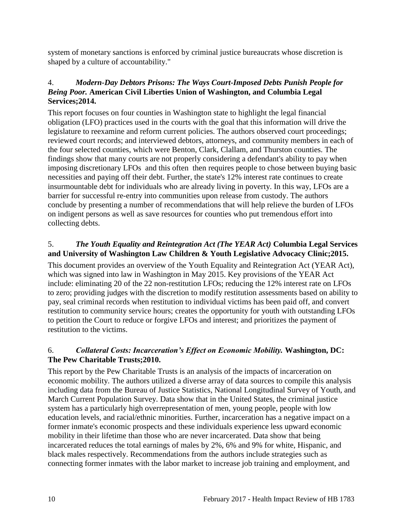system of monetary sanctions is enforced by criminal justice bureaucrats whose discretion is shaped by a culture of accountability."

#### <span id="page-11-0"></span>4.*Modern-Day Debtors Prisons: The Ways Court-Imposed Debts Punish People for Being Poor.* **American Civil Liberties Union of Washington, and Columbia Legal Services;2014.**

This report focuses on four counties in Washington state to highlight the legal financial obligation (LFO) practices used in the courts with the goal that this information will drive the legislature to reexamine and reform current policies. The authors observed court proceedings; reviewed court records; and interviewed debtors, attorneys, and community members in each of the four selected counties, which were Benton, Clark, Clallam, and Thurston counties. The findings show that many courts are not properly considering a defendant's ability to pay when imposing discretionary LFOs and this often then requires people to chose between buying basic necessities and paying off their debt. Further, the state's 12% interest rate continues to create insurmountable debt for individuals who are already living in poverty. In this way, LFOs are a barrier for successful re-entry into communities upon release from custody. The authors conclude by presenting a number of recommendations that will help relieve the burden of LFOs on indigent persons as well as save resources for counties who put tremendous effort into collecting debts.

#### <span id="page-11-1"></span>5.*The Youth Equality and Reintegration Act (The YEAR Act)* **Columbia Legal Services and University of Washington Law Children & Youth Legislative Advocacy Clinic;2015.**

This document provides an overview of the Youth Equality and Reintegration Act (YEAR Act), which was signed into law in Washington in May 2015. Key provisions of the YEAR Act include: eliminating 20 of the 22 non-restitution LFOs; reducing the 12% interest rate on LFOs to zero; providing judges with the discretion to modify restitution assessments based on ability to pay, seal criminal records when restitution to individual victims has been paid off, and convert restitution to community service hours; creates the opportunity for youth with outstanding LFOs to petition the Court to reduce or forgive LFOs and interest; and prioritizes the payment of restitution to the victims.

#### <span id="page-11-2"></span>6.*Collateral Costs: Incarceration's Effect on Economic Mobility.* **Washington, DC: The Pew Charitable Trusts;2010.**

This report by the Pew Charitable Trusts is an analysis of the impacts of incarceration on economic mobility. The authors utilized a diverse array of data sources to compile this analysis including data from the Bureau of Justice Statistics, National Longitudinal Survey of Youth, and March Current Population Survey. Data show that in the United States, the criminal justice system has a particularly high overrepresentation of men, young people, people with low education levels, and racial/ethnic minorities. Further, incarceration has a negative impact on a former inmate's economic prospects and these individuals experience less upward economic mobility in their lifetime than those who are never incarcerated. Data show that being incarcerated reduces the total earnings of males by 2%, 6% and 9% for white, Hispanic, and black males respectively. Recommendations from the authors include strategies such as connecting former inmates with the labor market to increase job training and employment, and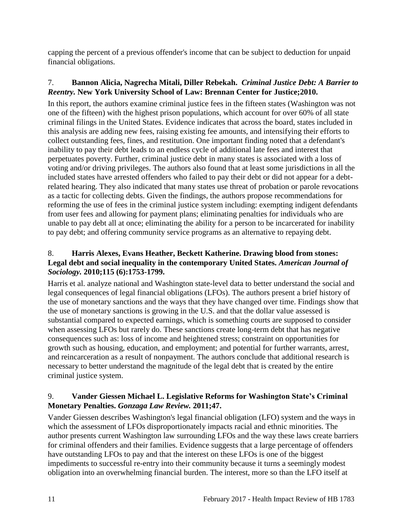capping the percent of a previous offender's income that can be subject to deduction for unpaid financial obligations.

# <span id="page-12-1"></span>7. **Bannon Alicia, Nagrecha Mitali, Diller Rebekah.** *Criminal Justice Debt: A Barrier to Reentry.* **New York University School of Law: Brennan Center for Justice;2010.**

In this report, the authors examine criminal justice fees in the fifteen states (Washington was not one of the fifteen) with the highest prison populations, which account for over 60% of all state criminal filings in the United States. Evidence indicates that across the board, states included in this analysis are adding new fees, raising existing fee amounts, and intensifying their efforts to collect outstanding fees, fines, and restitution. One important finding noted that a defendant's inability to pay their debt leads to an endless cycle of additional late fees and interest that perpetuates poverty. Further, criminal justice debt in many states is associated with a loss of voting and/or driving privileges. The authors also found that at least some jurisdictions in all the included states have arrested offenders who failed to pay their debt or did not appear for a debtrelated hearing. They also indicated that many states use threat of probation or parole revocations as a tactic for collecting debts. Given the findings, the authors propose recommendations for reforming the use of fees in the criminal justice system including: exempting indigent defendants from user fees and allowing for payment plans; eliminating penalties for individuals who are unable to pay debt all at once; eliminating the ability for a person to be incarcerated for inability to pay debt; and offering community service programs as an alternative to repaying debt.

#### <span id="page-12-0"></span>8. **Harris Alexes, Evans Heather, Beckett Katherine. Drawing blood from stones: Legal debt and social inequality in the contemporary United States.** *American Journal of Sociology.* **2010;115 (6):1753-1799.**

Harris et al. analyze national and Washington state-level data to better understand the social and legal consequences of legal financial obligations (LFOs). The authors present a brief history of the use of monetary sanctions and the ways that they have changed over time. Findings show that the use of monetary sanctions is growing in the U.S. and that the dollar value assessed is substantial compared to expected earnings, which is something courts are supposed to consider when assessing LFOs but rarely do. These sanctions create long-term debt that has negative consequences such as: loss of income and heightened stress; constraint on opportunities for growth such as housing, education, and employment; and potential for further warrants, arrest, and reincarceration as a result of nonpayment. The authors conclude that additional research is necessary to better understand the magnitude of the legal debt that is created by the entire criminal justice system.

#### 9. **Vander Giessen Michael L. Legislative Reforms for Washington State's Criminal Monetary Penalties.** *Gonzaga Law Review.* **2011;47.**

Vander Giessen describes Washington's legal financial obligation (LFO) system and the ways in which the assessment of LFOs disproportionately impacts racial and ethnic minorities. The author presents current Washington law surrounding LFOs and the way these laws create barriers for criminal offenders and their families. Evidence suggests that a large percentage of offenders have outstanding LFOs to pay and that the interest on these LFOs is one of the biggest impediments to successful re-entry into their community because it turns a seemingly modest obligation into an overwhelming financial burden. The interest, more so than the LFO itself at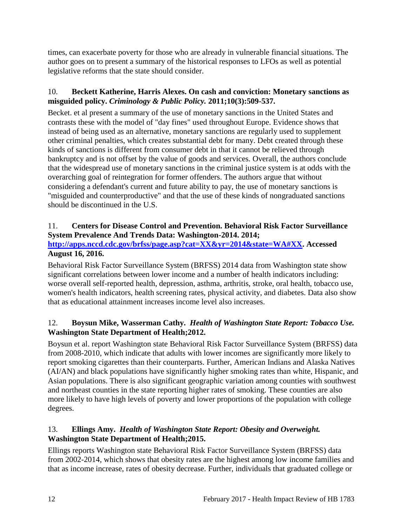times, can exacerbate poverty for those who are already in vulnerable financial situations. The author goes on to present a summary of the historical responses to LFOs as well as potential legislative reforms that the state should consider.

# <span id="page-13-1"></span>10. **Beckett Katherine, Harris Alexes. On cash and conviction: Monetary sanctions as misguided policy.** *Criminology & Public Policy.* **2011;10(3):509-537.**

Becket. et al present a summary of the use of monetary sanctions in the United States and contrasts these with the model of "day fines" used throughout Europe. Evidence shows that instead of being used as an alternative, monetary sanctions are regularly used to supplement other criminal penalties, which creates substantial debt for many. Debt created through these kinds of sanctions is different from consumer debt in that it cannot be relieved through bankruptcy and is not offset by the value of goods and services. Overall, the authors conclude that the widespread use of monetary sanctions in the criminal justice system is at odds with the overarching goal of reintegration for former offenders. The authors argue that without considering a defendant's current and future ability to pay, the use of monetary sanctions is "misguided and counterproductive" and that the use of these kinds of nongraduated sanctions should be discontinued in the U.S.

# <span id="page-13-0"></span>11. **Centers for Disease Control and Prevention. Behavioral Risk Factor Surveillance System Prevalence And Trends Data: Washington-2014. 2014;**

## **[http://apps.nccd.cdc.gov/brfss/page.asp?cat=XX&yr=2014&state=WA#XX.](http://apps.nccd.cdc.gov/brfss/page.asp?cat=XX&yr=2014&state=WA#XX) Accessed August 16, 2016.**

Behavioral Risk Factor Surveillance System (BRFSS) 2014 data from Washington state show significant correlations between lower income and a number of health indicators including: worse overall self-reported health, depression, asthma, arthritis, stroke, oral health, tobacco use, women's health indicators, health screening rates, physical activity, and diabetes. Data also show that as educational attainment increases income level also increases.

# <span id="page-13-2"></span>12. **Boysun Mike, Wasserman Cathy.** *Health of Washington State Report: Tobacco Use.* **Washington State Department of Health;2012.**

Boysun et al. report Washington state Behavioral Risk Factor Surveillance System (BRFSS) data from 2008-2010, which indicate that adults with lower incomes are significantly more likely to report smoking cigarettes than their counterparts. Further, American Indians and Alaska Natives (AI/AN) and black populations have significantly higher smoking rates than white, Hispanic, and Asian populations. There is also significant geographic variation among counties with southwest and northeast counties in the state reporting higher rates of smoking. These counties are also more likely to have high levels of poverty and lower proportions of the population with college degrees.

# 13. **Ellings Amy.** *Health of Washington State Report: Obesity and Overweight.* **Washington State Department of Health;2015.**

Ellings reports Washington state Behavioral Risk Factor Surveillance System (BRFSS) data from 2002-2014, which shows that obesity rates are the highest among low income families and that as income increase, rates of obesity decrease. Further, individuals that graduated college or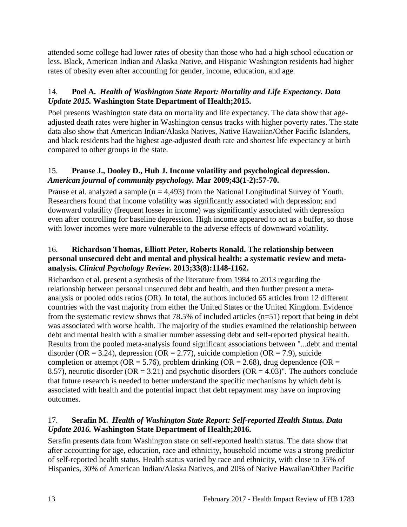attended some college had lower rates of obesity than those who had a high school education or less. Black, American Indian and Alaska Native, and Hispanic Washington residents had higher rates of obesity even after accounting for gender, income, education, and age.

## <span id="page-14-0"></span>14. **Poel A.** *Health of Washington State Report: Mortality and Life Expectancy. Data Update 2015.* **Washington State Department of Health;2015.**

Poel presents Washington state data on mortality and life expectancy. The data show that ageadjusted death rates were higher in Washington census tracks with higher poverty rates. The state data also show that American Indian/Alaska Natives, Native Hawaiian/Other Pacific Islanders, and black residents had the highest age-adjusted death rate and shortest life expectancy at birth compared to other groups in the state.

## <span id="page-14-2"></span>15. **Prause J., Dooley D., Huh J. Income volatility and psychological depression.**  *American journal of community psychology.* **Mar 2009;43(1-2):57-70.**

Prause et al. analyzed a sample  $(n = 4,493)$  from the National Longitudinal Survey of Youth. Researchers found that income volatility was significantly associated with depression; and downward volatility (frequent losses in income) was significantly associated with depression even after controlling for baseline depression. High income appeared to act as a buffer, so those with lower incomes were more vulnerable to the adverse effects of downward volatility.

#### <span id="page-14-3"></span>16. **Richardson Thomas, Elliott Peter, Roberts Ronald. The relationship between personal unsecured debt and mental and physical health: a systematic review and metaanalysis.** *Clinical Psychology Review.* **2013;33(8):1148-1162.**

Richardson et al. present a synthesis of the literature from 1984 to 2013 regarding the relationship between personal unsecured debt and health, and then further present a metaanalysis or pooled odds ratios (OR). In total, the authors included 65 articles from 12 different countries with the vast majority from either the United States or the United Kingdom. Evidence from the systematic review shows that 78.5% of included articles (n=51) report that being in debt was associated with worse health. The majority of the studies examined the relationship between debt and mental health with a smaller number assessing debt and self-reported physical health. Results from the pooled meta-analysis found significant associations between "...debt and mental disorder (OR = 3.24), depression (OR = 2.77), suicide completion (OR = 7.9), suicide completion or attempt ( $OR = 5.76$ ), problem drinking ( $OR = 2.68$ ), drug dependence ( $OR =$ 8.57), neurotic disorder ( $OR = 3.21$ ) and psychotic disorders ( $OR = 4.03$ )". The authors conclude that future research is needed to better understand the specific mechanisms by which debt is associated with health and the potential impact that debt repayment may have on improving outcomes.

#### <span id="page-14-1"></span>17. **Serafin M.** *Health of Washington State Report: Self-reported Health Status. Data Update 2016.* **Washington State Department of Health;2016.**

Serafin presents data from Washington state on self-reported health status. The data show that after accounting for age, education, race and ethnicity, household income was a strong predictor of self-reported health status. Health status varied by race and ethnicity, with close to 35% of Hispanics, 30% of American Indian/Alaska Natives, and 20% of Native Hawaiian/Other Pacific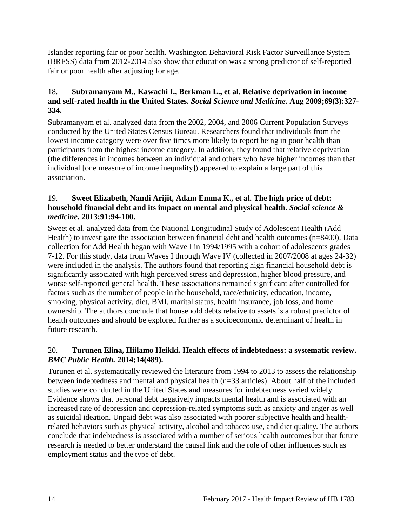Islander reporting fair or poor health. Washington Behavioral Risk Factor Surveillance System (BRFSS) data from 2012-2014 also show that education was a strong predictor of self-reported fair or poor health after adjusting for age.

### <span id="page-15-0"></span>18. **Subramanyam M., Kawachi I., Berkman L., et al. Relative deprivation in income and self-rated health in the United States.** *Social Science and Medicine.* **Aug 2009;69(3):327- 334.**

Subramanyam et al. analyzed data from the 2002, 2004, and 2006 Current Population Surveys conducted by the United States Census Bureau. Researchers found that individuals from the lowest income category were over five times more likely to report being in poor health than participants from the highest income category. In addition, they found that relative deprivation (the differences in incomes between an individual and others who have higher incomes than that individual [one measure of income inequality]) appeared to explain a large part of this association.

#### <span id="page-15-1"></span>19. **Sweet Elizabeth, Nandi Arijit, Adam Emma K., et al. The high price of debt: household financial debt and its impact on mental and physical health.** *Social science & medicine.* **2013;91:94-100.**

Sweet et al. analyzed data from the National Longitudinal Study of Adolescent Health (Add Health) to investigate the association between financial debt and health outcomes (n=8400). Data collection for Add Health began with Wave I in 1994/1995 with a cohort of adolescents grades 7-12. For this study, data from Waves I through Wave IV (collected in 2007/2008 at ages 24-32) were included in the analysis. The authors found that reporting high financial household debt is significantly associated with high perceived stress and depression, higher blood pressure, and worse self-reported general health. These associations remained significant after controlled for factors such as the number of people in the household, race/ethnicity, education, income, smoking, physical activity, diet, BMI, marital status, health insurance, job loss, and home ownership. The authors conclude that household debts relative to assets is a robust predictor of health outcomes and should be explored further as a socioeconomic determinant of health in future research.

#### <span id="page-15-2"></span>20. **Turunen Elina, Hiilamo Heikki. Health effects of indebtedness: a systematic review.**  *BMC Public Health.* **2014;14(489).**

Turunen et al. systematically reviewed the literature from 1994 to 2013 to assess the relationship between indebtedness and mental and physical health (n=33 articles). About half of the included studies were conducted in the United States and measures for indebtedness varied widely. Evidence shows that personal debt negatively impacts mental health and is associated with an increased rate of depression and depression-related symptoms such as anxiety and anger as well as suicidal ideation. Unpaid debt was also associated with poorer subjective health and healthrelated behaviors such as physical activity, alcohol and tobacco use, and diet quality. The authors conclude that indebtedness is associated with a number of serious health outcomes but that future research is needed to better understand the causal link and the role of other influences such as employment status and the type of debt.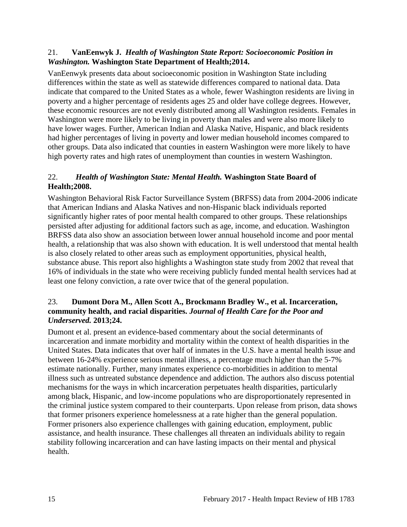#### <span id="page-16-0"></span>21. **VanEenwyk J.** *Health of Washington State Report: Socioeconomic Position in Washington.* **Washington State Department of Health;2014.**

VanEenwyk presents data about socioeconomic position in Washington State including differences within the state as well as statewide differences compared to national data. Data indicate that compared to the United States as a whole, fewer Washington residents are living in poverty and a higher percentage of residents ages 25 and older have college degrees. However, these economic resources are not evenly distributed among all Washington residents. Females in Washington were more likely to be living in poverty than males and were also more likely to have lower wages. Further, American Indian and Alaska Native, Hispanic, and black residents had higher percentages of living in poverty and lower median household incomes compared to other groups. Data also indicated that counties in eastern Washington were more likely to have high poverty rates and high rates of unemployment than counties in western Washington.

# <span id="page-16-1"></span>22.*Health of Washington State: Mental Health.* **Washington State Board of Health;2008.**

Washington Behavioral Risk Factor Surveillance System (BRFSS) data from 2004-2006 indicate that American Indians and Alaska Natives and non-Hispanic black individuals reported significantly higher rates of poor mental health compared to other groups. These relationships persisted after adjusting for additional factors such as age, income, and education. Washington BRFSS data also show an association between lower annual household income and poor mental health, a relationship that was also shown with education. It is well understood that mental health is also closely related to other areas such as employment opportunities, physical health, substance abuse. This report also highlights a Washington state study from 2002 that reveal that 16% of individuals in the state who were receiving publicly funded mental health services had at least one felony conviction, a rate over twice that of the general population.

### <span id="page-16-2"></span>23. **Dumont Dora M., Allen Scott A., Brockmann Bradley W., et al. Incarceration, community health, and racial disparities.** *Journal of Health Care for the Poor and Underserved.* **2013;24.**

Dumont et al. present an evidence-based commentary about the social determinants of incarceration and inmate morbidity and mortality within the context of health disparities in the United States. Data indicates that over half of inmates in the U.S. have a mental health issue and between 16-24% experience serious mental illness, a percentage much higher than the 5-7% estimate nationally. Further, many inmates experience co-morbidities in addition to mental illness such as untreated substance dependence and addiction. The authors also discuss potential mechanisms for the ways in which incarceration perpetuates health disparities, particularly among black, Hispanic, and low-income populations who are disproportionately represented in the criminal justice system compared to their counterparts. Upon release from prison, data shows that former prisoners experience homelessness at a rate higher than the general population. Former prisoners also experience challenges with gaining education, employment, public assistance, and health insurance. These challenges all threaten an individuals ability to regain stability following incarceration and can have lasting impacts on their mental and physical health.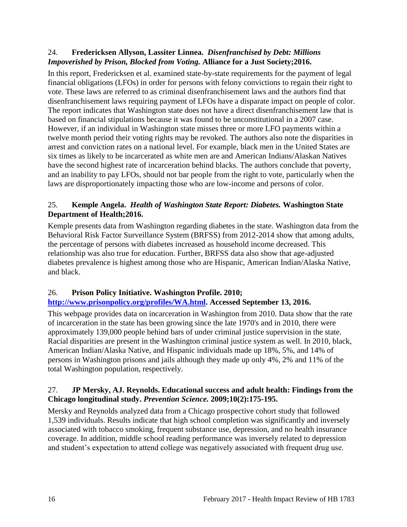#### <span id="page-17-2"></span>24. **Fredericksen Allyson, Lassiter Linnea.** *Disenfranchised by Debt: Millions Impoverished by Prison, Blocked from Voting.* **Alliance for a Just Society;2016.**

In this report, Fredericksen et al. examined state-by-state requirements for the payment of legal financial obligations (LFOs) in order for persons with felony convictions to regain their right to vote. These laws are referred to as criminal disenfranchisement laws and the authors find that disenfranchisement laws requiring payment of LFOs have a disparate impact on people of color. The report indicates that Washington state does not have a direct disenfranchisement law that is based on financial stipulations because it was found to be unconstitutional in a 2007 case. However, if an individual in Washington state misses three or more LFO payments within a twelve month period their voting rights may be revoked. The authors also note the disparities in arrest and conviction rates on a national level. For example, black men in the United States are six times as likely to be incarcerated as white men are and American Indians/Alaskan Natives have the second highest rate of incarceration behind blacks. The authors conclude that poverty, and an inability to pay LFOs, should not bar people from the right to vote, particularly when the laws are disproportionately impacting those who are low-income and persons of color.

## <span id="page-17-0"></span>25. **Kemple Angela.** *Health of Washington State Report: Diabetes.* **Washington State Department of Health;2016.**

Kemple presents data from Washington regarding diabetes in the state. Washington data from the Behavioral Risk Factor Surveillance System (BRFSS) from 2012-2014 show that among adults, the percentage of persons with diabetes increased as household income decreased. This relationship was also true for education. Further, BRFSS data also show that age-adjusted diabetes prevalence is highest among those who are Hispanic, American Indian/Alaska Native, and black.

# <span id="page-17-3"></span>26. **Prison Policy Initiative. Washington Profile. 2010;**

# **[http://www.prisonpolicy.org/profiles/WA.html.](http://www.prisonpolicy.org/profiles/WA.html) Accessed September 13, 2016.**

This webpage provides data on incarceration in Washington from 2010. Data show that the rate of incarceration in the state has been growing since the late 1970's and in 2010, there were approximately 139,000 people behind bars of under criminal justice supervision in the state. Racial disparities are present in the Washington criminal justice system as well. In 2010, black, American Indian/Alaska Native, and Hispanic individuals made up 18%, 5%, and 14% of persons in Washington prisons and jails although they made up only 4%, 2% and 11% of the total Washington population, respectively.

#### <span id="page-17-1"></span>27. **JP Mersky, AJ. Reynolds. Educational success and adult health: Findings from the Chicago longitudinal study.** *Prevention Science.* **2009;10(2):175-195.**

Mersky and Reynolds analyzed data from a Chicago prospective cohort study that followed 1,539 individuals. Results indicate that high school completion was significantly and inversely associated with tobacco smoking, frequent substance use, depression, and no health insurance coverage. In addition, middle school reading performance was inversely related to depression and student's expectation to attend college was negatively associated with frequent drug use.